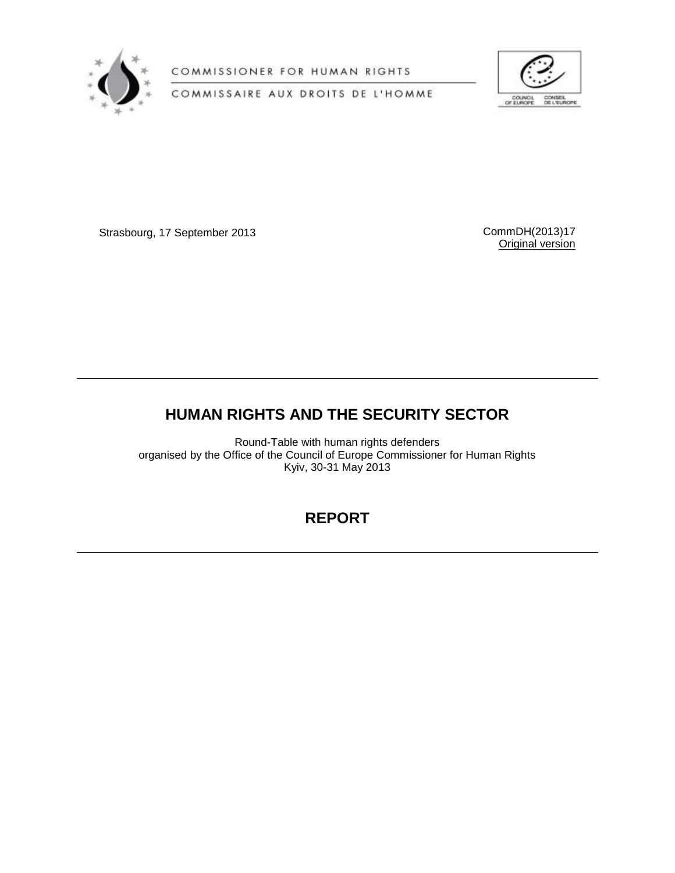

COMMISSIONER FOR HUMAN RIGHTS

COMMISSAIRE AUX DROITS DE L'HOMME



Strasbourg, 17 September 2013 CommDH(2013)17

Original version

# **HUMAN RIGHTS AND THE SECURITY SECTOR**

Round-Table with human rights defenders organised by the Office of the Council of Europe Commissioner for Human Rights Kyiv, 30-31 May 2013

## **REPORT**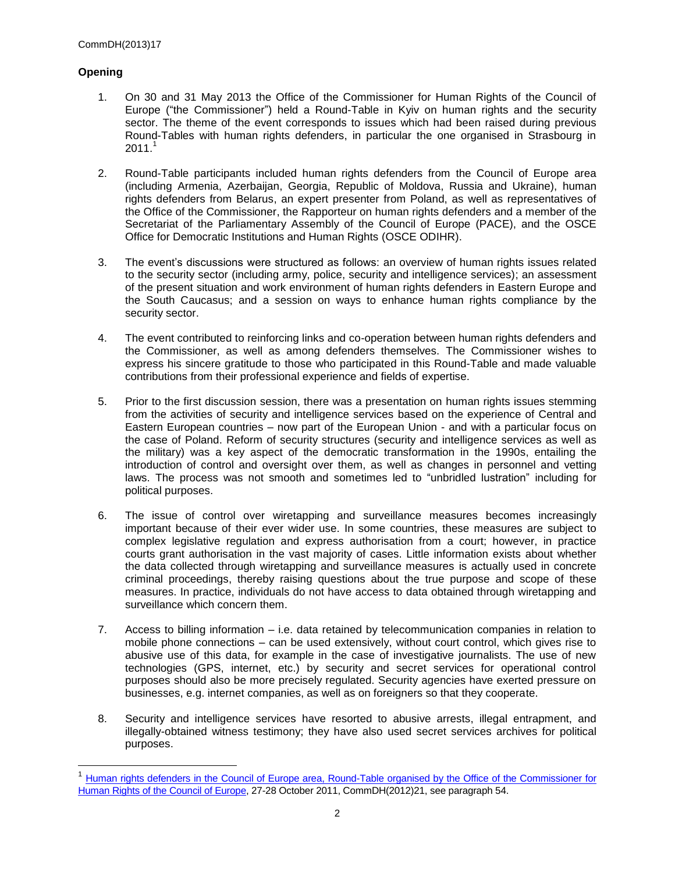### **Opening**

- 1. On 30 and 31 May 2013 the Office of the Commissioner for Human Rights of the Council of Europe ("the Commissioner") held a Round-Table in Kyiv on human rights and the security sector. The theme of the event corresponds to issues which had been raised during previous Round-Tables with human rights defenders, in particular the one organised in Strasbourg in  $2011.<sup>1</sup>$
- 2. Round-Table participants included human rights defenders from the Council of Europe area (including Armenia, Azerbaijan, Georgia, Republic of Moldova, Russia and Ukraine), human rights defenders from Belarus, an expert presenter from Poland, as well as representatives of the Office of the Commissioner, the Rapporteur on human rights defenders and a member of the Secretariat of the Parliamentary Assembly of the Council of Europe (PACE), and the OSCE Office for Democratic Institutions and Human Rights (OSCE ODIHR).
- 3. The event's discussions were structured as follows: an overview of human rights issues related to the security sector (including army, police, security and intelligence services); an assessment of the present situation and work environment of human rights defenders in Eastern Europe and the South Caucasus; and a session on ways to enhance human rights compliance by the security sector.
- 4. The event contributed to reinforcing links and co-operation between human rights defenders and the Commissioner, as well as among defenders themselves. The Commissioner wishes to express his sincere gratitude to those who participated in this Round-Table and made valuable contributions from their professional experience and fields of expertise.
- 5. Prior to the first discussion session, there was a presentation on human rights issues stemming from the activities of security and intelligence services based on the experience of Central and Eastern European countries – now part of the European Union - and with a particular focus on the case of Poland. Reform of security structures (security and intelligence services as well as the military) was a key aspect of the democratic transformation in the 1990s, entailing the introduction of control and oversight over them, as well as changes in personnel and vetting laws. The process was not smooth and sometimes led to "unbridled lustration" including for political purposes.
- 6. The issue of control over wiretapping and surveillance measures becomes increasingly important because of their ever wider use. In some countries, these measures are subject to complex legislative regulation and express authorisation from a court; however, in practice courts grant authorisation in the vast majority of cases. Little information exists about whether the data collected through wiretapping and surveillance measures is actually used in concrete criminal proceedings, thereby raising questions about the true purpose and scope of these measures. In practice, individuals do not have access to data obtained through wiretapping and surveillance which concern them.
- 7. Access to billing information i.e. data retained by telecommunication companies in relation to mobile phone connections – can be used extensively, without court control, which gives rise to abusive use of this data, for example in the case of investigative journalists. The use of new technologies (GPS, internet, etc.) by security and secret services for operational control purposes should also be more precisely regulated. Security agencies have exerted pressure on businesses, e.g. internet companies, as well as on foreigners so that they cooperate.
- 8. Security and intelligence services have resorted to abusive arrests, illegal entrapment, and illegally-obtained witness testimony; they have also used secret services archives for political purposes.

<sup>1</sup> [Human rights defenders in the Council of Europe area, Round-Table organised by the Office of the Commissioner for](https://wcd.coe.int/ViewDoc.jsp?Ref=CommDH%282012%2921&Language=lanEnglish)  [Human Rights of the Council of Europe,](https://wcd.coe.int/ViewDoc.jsp?Ref=CommDH%282012%2921&Language=lanEnglish) 27-28 October 2011, CommDH(2012)21, see paragraph 54.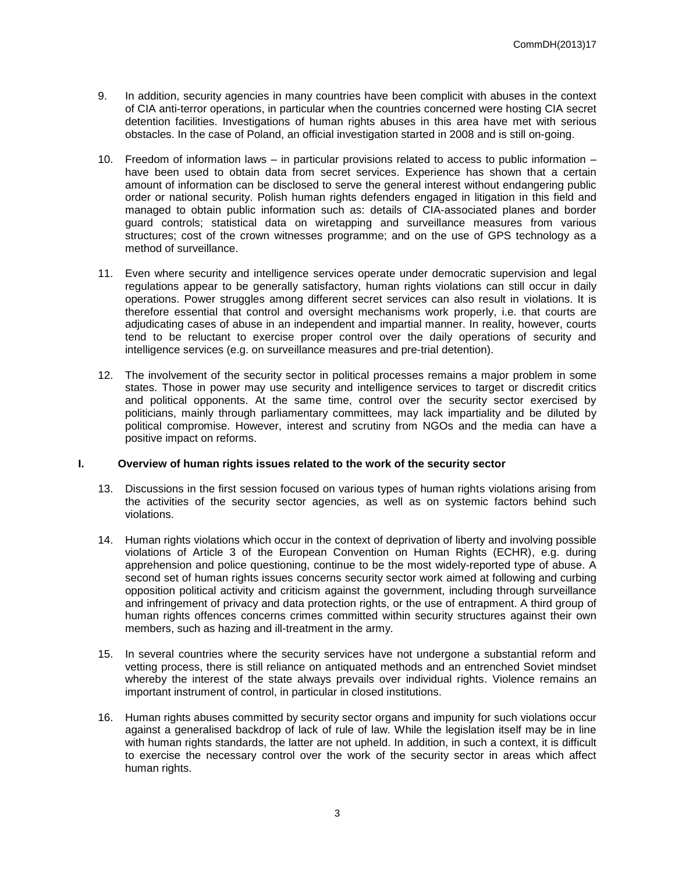- 9. In addition, security agencies in many countries have been complicit with abuses in the context of CIA anti-terror operations, in particular when the countries concerned were hosting CIA secret detention facilities. Investigations of human rights abuses in this area have met with serious obstacles. In the case of Poland, an official investigation started in 2008 and is still on-going.
- 10. Freedom of information laws in particular provisions related to access to public information have been used to obtain data from secret services. Experience has shown that a certain amount of information can be disclosed to serve the general interest without endangering public order or national security. Polish human rights defenders engaged in litigation in this field and managed to obtain public information such as: details of CIA-associated planes and border guard controls; statistical data on wiretapping and surveillance measures from various structures; cost of the crown witnesses programme; and on the use of GPS technology as a method of surveillance.
- 11. Even where security and intelligence services operate under democratic supervision and legal regulations appear to be generally satisfactory, human rights violations can still occur in daily operations. Power struggles among different secret services can also result in violations. It is therefore essential that control and oversight mechanisms work properly, i.e. that courts are adjudicating cases of abuse in an independent and impartial manner. In reality, however, courts tend to be reluctant to exercise proper control over the daily operations of security and intelligence services (e.g. on surveillance measures and pre-trial detention).
- 12. The involvement of the security sector in political processes remains a major problem in some states. Those in power may use security and intelligence services to target or discredit critics and political opponents. At the same time, control over the security sector exercised by politicians, mainly through parliamentary committees, may lack impartiality and be diluted by political compromise. However, interest and scrutiny from NGOs and the media can have a positive impact on reforms.

#### **I. Overview of human rights issues related to the work of the security sector**

- 13. Discussions in the first session focused on various types of human rights violations arising from the activities of the security sector agencies, as well as on systemic factors behind such violations.
- 14. Human rights violations which occur in the context of deprivation of liberty and involving possible violations of Article 3 of the European Convention on Human Rights (ECHR), e.g. during apprehension and police questioning, continue to be the most widely-reported type of abuse. A second set of human rights issues concerns security sector work aimed at following and curbing opposition political activity and criticism against the government, including through surveillance and infringement of privacy and data protection rights, or the use of entrapment. A third group of human rights offences concerns crimes committed within security structures against their own members, such as hazing and ill-treatment in the army.
- 15. In several countries where the security services have not undergone a substantial reform and vetting process, there is still reliance on antiquated methods and an entrenched Soviet mindset whereby the interest of the state always prevails over individual rights. Violence remains an important instrument of control, in particular in closed institutions.
- 16. Human rights abuses committed by security sector organs and impunity for such violations occur against a generalised backdrop of lack of rule of law. While the legislation itself may be in line with human rights standards, the latter are not upheld. In addition, in such a context, it is difficult to exercise the necessary control over the work of the security sector in areas which affect human rights.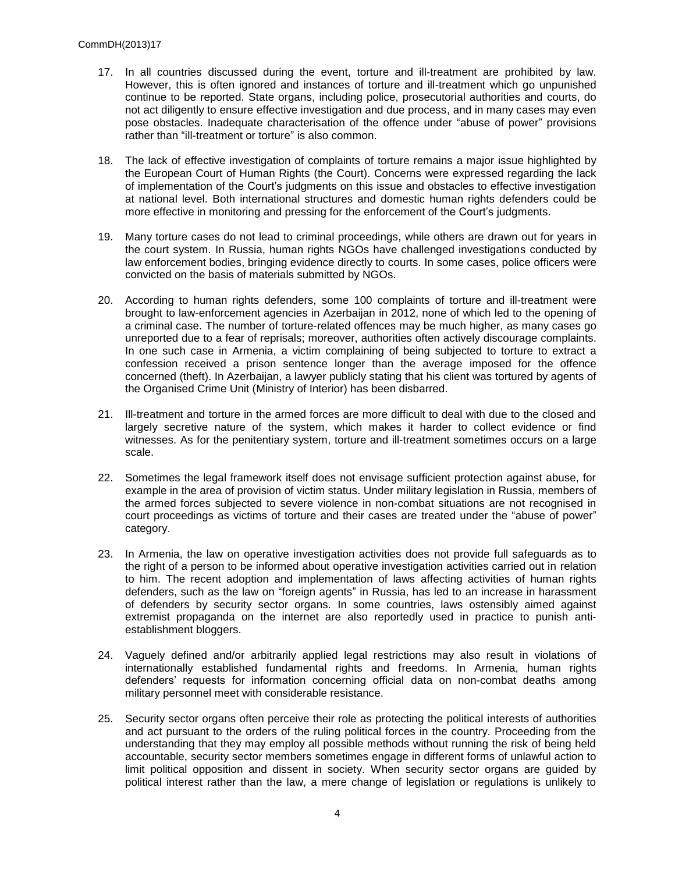- 17. In all countries discussed during the event, torture and ill-treatment are prohibited by law. However, this is often ignored and instances of torture and ill-treatment which go unpunished continue to be reported. State organs, including police, prosecutorial authorities and courts, do not act diligently to ensure effective investigation and due process, and in many cases may even pose obstacles. Inadequate characterisation of the offence under "abuse of power" provisions rather than "ill-treatment or torture" is also common.
- 18. The lack of effective investigation of complaints of torture remains a major issue highlighted by the European Court of Human Rights (the Court). Concerns were expressed regarding the lack of implementation of the Court's judgments on this issue and obstacles to effective investigation at national level. Both international structures and domestic human rights defenders could be more effective in monitoring and pressing for the enforcement of the Court's judgments.
- 19. Many torture cases do not lead to criminal proceedings, while others are drawn out for years in the court system. In Russia, human rights NGOs have challenged investigations conducted by law enforcement bodies, bringing evidence directly to courts. In some cases, police officers were convicted on the basis of materials submitted by NGOs.
- 20. According to human rights defenders, some 100 complaints of torture and ill-treatment were brought to law-enforcement agencies in Azerbaijan in 2012, none of which led to the opening of a criminal case. The number of torture-related offences may be much higher, as many cases go unreported due to a fear of reprisals; moreover, authorities often actively discourage complaints. In one such case in Armenia, a victim complaining of being subjected to torture to extract a confession received a prison sentence longer than the average imposed for the offence concerned (theft). In Azerbaijan, a lawyer publicly stating that his client was tortured by agents of the Organised Crime Unit (Ministry of Interior) has been disbarred.
- 21. Ill-treatment and torture in the armed forces are more difficult to deal with due to the closed and largely secretive nature of the system, which makes it harder to collect evidence or find witnesses. As for the penitentiary system, torture and ill-treatment sometimes occurs on a large scale.
- 22. Sometimes the legal framework itself does not envisage sufficient protection against abuse, for example in the area of provision of victim status. Under military legislation in Russia, members of the armed forces subjected to severe violence in non-combat situations are not recognised in court proceedings as victims of torture and their cases are treated under the "abuse of power" category.
- 23. In Armenia, the law on operative investigation activities does not provide full safeguards as to the right of a person to be informed about operative investigation activities carried out in relation to him. The recent adoption and implementation of laws affecting activities of human rights defenders, such as the law on "foreign agents" in Russia, has led to an increase in harassment of defenders by security sector organs. In some countries, laws ostensibly aimed against extremist propaganda on the internet are also reportedly used in practice to punish antiestablishment bloggers.
- 24. Vaguely defined and/or arbitrarily applied legal restrictions may also result in violations of internationally established fundamental rights and freedoms. In Armenia, human rights defenders' requests for information concerning official data on non-combat deaths among military personnel meet with considerable resistance.
- 25. Security sector organs often perceive their role as protecting the political interests of authorities and act pursuant to the orders of the ruling political forces in the country. Proceeding from the understanding that they may employ all possible methods without running the risk of being held accountable, security sector members sometimes engage in different forms of unlawful action to limit political opposition and dissent in society. When security sector organs are guided by political interest rather than the law, a mere change of legislation or regulations is unlikely to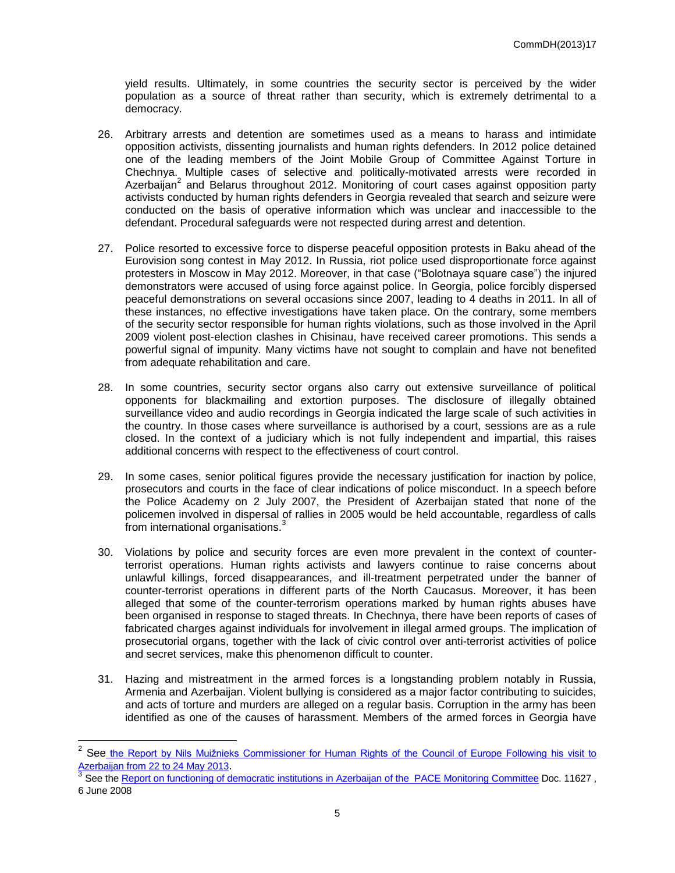yield results. Ultimately, in some countries the security sector is perceived by the wider population as a source of threat rather than security, which is extremely detrimental to a democracy.

- 26. Arbitrary arrests and detention are sometimes used as a means to harass and intimidate opposition activists, dissenting journalists and human rights defenders. In 2012 police detained one of the leading members of the Joint Mobile Group of Committee Against Torture in Chechnya. Multiple cases of selective and politically-motivated arrests were recorded in Azerbaijan<sup>2</sup> and Belarus throughout 2012. Monitoring of court cases against opposition party activists conducted by human rights defenders in Georgia revealed that search and seizure were conducted on the basis of operative information which was unclear and inaccessible to the defendant. Procedural safeguards were not respected during arrest and detention.
- 27. Police resorted to excessive force to disperse peaceful opposition protests in Baku ahead of the Eurovision song contest in May 2012. In Russia, riot police used disproportionate force against protesters in Moscow in May 2012. Moreover, in that case ("Bolotnaya square case") the injured demonstrators were accused of using force against police. In Georgia, police forcibly dispersed peaceful demonstrations on several occasions since 2007, leading to 4 deaths in 2011. In all of these instances, no effective investigations have taken place. On the contrary, some members of the security sector responsible for human rights violations, such as those involved in the April 2009 violent post-election clashes in Chisinau, have received career promotions. This sends a powerful signal of impunity. Many victims have not sought to complain and have not benefited from adequate rehabilitation and care.
- 28. In some countries, security sector organs also carry out extensive surveillance of political opponents for blackmailing and extortion purposes. The disclosure of illegally obtained surveillance video and audio recordings in Georgia indicated the large scale of such activities in the country. In those cases where surveillance is authorised by a court, sessions are as a rule closed. In the context of a judiciary which is not fully independent and impartial, this raises additional concerns with respect to the effectiveness of court control.
- 29. In some cases, senior political figures provide the necessary justification for inaction by police, prosecutors and courts in the face of clear indications of police misconduct. In a speech before the Police Academy on 2 July 2007, the President of Azerbaijan stated that none of the policemen involved in dispersal of rallies in 2005 would be held accountable, regardless of calls from international organisations.<sup>3</sup>
- 30. Violations by police and security forces are even more prevalent in the context of counterterrorist operations. Human rights activists and lawyers continue to raise concerns about unlawful killings, forced disappearances, and ill-treatment perpetrated under the banner of counter-terrorist operations in different parts of the North Caucasus. Moreover, it has been alleged that some of the counter-terrorism operations marked by human rights abuses have been organised in response to staged threats. In Chechnya, there have been reports of cases of fabricated charges against individuals for involvement in illegal armed groups. The implication of prosecutorial organs, together with the lack of civic control over anti-terrorist activities of police and secret services, make this phenomenon difficult to counter.
- 31. Hazing and mistreatment in the armed forces is a longstanding problem notably in Russia, Armenia and Azerbaijan. Violent bullying is considered as a major factor contributing to suicides, and acts of torture and murders are alleged on a regular basis. Corruption in the army has been identified as one of the causes of harassment. Members of the armed forces in Georgia have

<sup>&</sup>lt;sup>2</sup> See the Report by Nils Muižnieks Commissioner for Human Rights of the Council of Europe Following his visit to [Azerbaijan from 22 to 24 May 2013](https://wcd.coe.int/com.instranet.InstraServlet?command=com.instranet.CmdBlobGet&InstranetImage=2324128&SecMode=1&DocId=2037462&Usage=2).<br><sup>3</sup> See the Penert an functioning of di

See the [Report on functioning of democratic institutions in Azerbaijan of the PACE](http://assembly.coe.int/ASP/Doc/XrefViewHTML.asp?FileID=12114&Language=EN) Monitoring Committee Doc. 11627 , 6 June 2008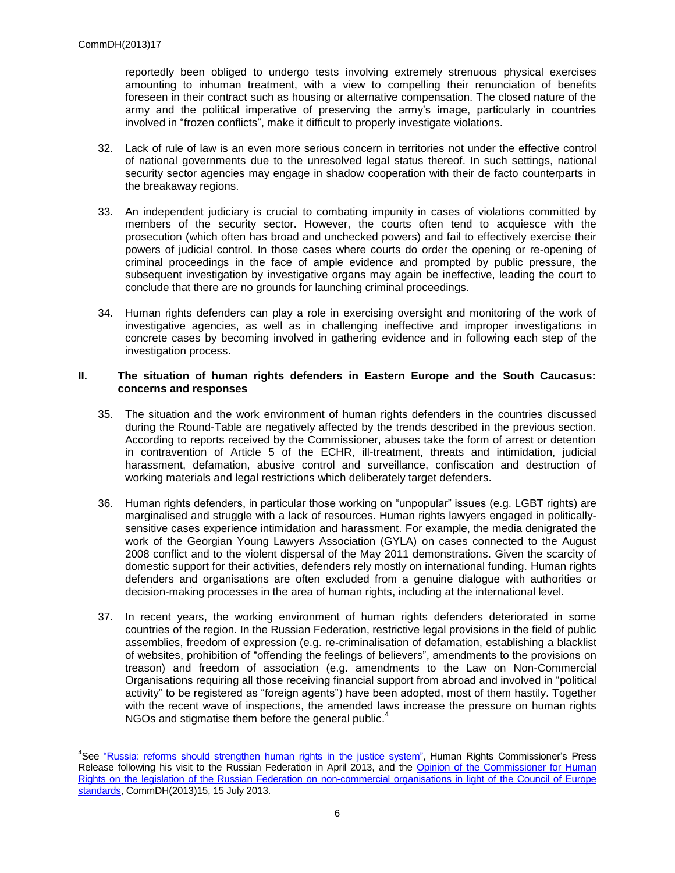reportedly been obliged to undergo tests involving extremely strenuous physical exercises amounting to inhuman treatment, with a view to compelling their renunciation of benefits foreseen in their contract such as housing or alternative compensation. The closed nature of the army and the political imperative of preserving the army's image, particularly in countries involved in "frozen conflicts", make it difficult to properly investigate violations.

- 32. Lack of rule of law is an even more serious concern in territories not under the effective control of national governments due to the unresolved legal status thereof. In such settings, national security sector agencies may engage in shadow cooperation with their de facto counterparts in the breakaway regions.
- 33. An independent judiciary is crucial to combating impunity in cases of violations committed by members of the security sector. However, the courts often tend to acquiesce with the prosecution (which often has broad and unchecked powers) and fail to effectively exercise their powers of judicial control. In those cases where courts do order the opening or re-opening of criminal proceedings in the face of ample evidence and prompted by public pressure, the subsequent investigation by investigative organs may again be ineffective, leading the court to conclude that there are no grounds for launching criminal proceedings.
- 34. Human rights defenders can play a role in exercising oversight and monitoring of the work of investigative agencies, as well as in challenging ineffective and improper investigations in concrete cases by becoming involved in gathering evidence and in following each step of the investigation process.

#### **II. The situation of human rights defenders in Eastern Europe and the South Caucasus: concerns and responses**

- 35. The situation and the work environment of human rights defenders in the countries discussed during the Round-Table are negatively affected by the trends described in the previous section. According to reports received by the Commissioner, abuses take the form of arrest or detention in contravention of Article 5 of the ECHR, ill-treatment, threats and intimidation, judicial harassment, defamation, abusive control and surveillance, confiscation and destruction of working materials and legal restrictions which deliberately target defenders.
- 36. Human rights defenders, in particular those working on "unpopular" issues (e.g. LGBT rights) are marginalised and struggle with a lack of resources. Human rights lawyers engaged in politicallysensitive cases experience intimidation and harassment. For example, the media denigrated the work of the Georgian Young Lawyers Association (GYLA) on cases connected to the August 2008 conflict and to the violent dispersal of the May 2011 demonstrations. Given the scarcity of domestic support for their activities, defenders rely mostly on international funding. Human rights defenders and organisations are often excluded from a genuine dialogue with authorities or decision-making processes in the area of human rights, including at the international level.
- 37. In recent years, the working environment of human rights defenders deteriorated in some countries of the region. In the Russian Federation, restrictive legal provisions in the field of public assemblies, freedom of expression (e.g. re-criminalisation of defamation, establishing a blacklist of websites, prohibition of "offending the feelings of believers", amendments to the provisions on treason) and freedom of association (e.g. amendments to the Law on Non-Commercial Organisations requiring all those receiving financial support from abroad and involved in "political activity" to be registered as "foreign agents") have been adopted, most of them hastily. Together with the recent wave of inspections, the amended laws increase the pressure on human rights NGOs and stigmatise them before the general public.<sup>4</sup>

<sup>&</sup>lt;sup>4</sup>See ["Russia: reforms should strengthen human rights in the justice system",](http://www.coe.int/t/commissioner/News/2013/130411Russiaendofvisit_en.asp) Human Rights Commissioner's Press Release following his visit to the Russian Federation in April 2013, and the Opinion of the Commissioner for Human [Rights on the legislation of the Russian Federation on non-commercial organisations in light of the Council of Europe](https://wcd.coe.int/ViewDoc.jsp?id=2086667&Site=COE&BackColorInternet=B9BDEE&BackColorIntranet=FFCD4F&BackColorLogged=FFC679)  [standards,](https://wcd.coe.int/ViewDoc.jsp?id=2086667&Site=COE&BackColorInternet=B9BDEE&BackColorIntranet=FFCD4F&BackColorLogged=FFC679) CommDH(2013)15, 15 July 2013.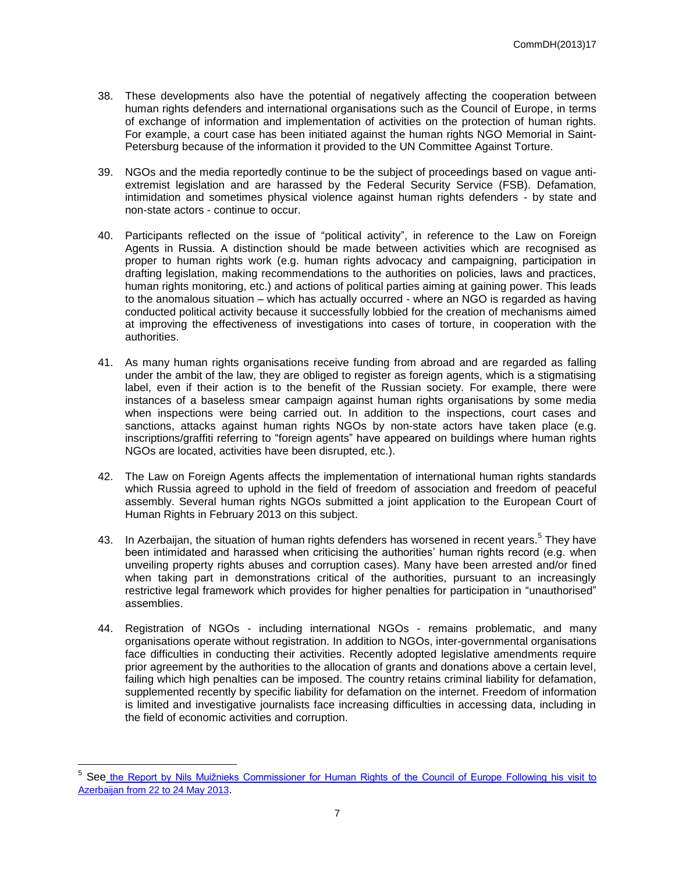- 38. These developments also have the potential of negatively affecting the cooperation between human rights defenders and international organisations such as the Council of Europe, in terms of exchange of information and implementation of activities on the protection of human rights. For example, a court case has been initiated against the human rights NGO Memorial in Saint-Petersburg because of the information it provided to the UN Committee Against Torture.
- 39. NGOs and the media reportedly continue to be the subject of proceedings based on vague antiextremist legislation and are harassed by the Federal Security Service (FSB). Defamation, intimidation and sometimes physical violence against human rights defenders - by state and non-state actors - continue to occur.
- 40. Participants reflected on the issue of "political activity", in reference to the Law on Foreign Agents in Russia. A distinction should be made between activities which are recognised as proper to human rights work (e.g. human rights advocacy and campaigning, participation in drafting legislation, making recommendations to the authorities on policies, laws and practices, human rights monitoring, etc.) and actions of political parties aiming at gaining power. This leads to the anomalous situation – which has actually occurred - where an NGO is regarded as having conducted political activity because it successfully lobbied for the creation of mechanisms aimed at improving the effectiveness of investigations into cases of torture, in cooperation with the authorities.
- 41. As many human rights organisations receive funding from abroad and are regarded as falling under the ambit of the law, they are obliged to register as foreign agents, which is a stigmatising label, even if their action is to the benefit of the Russian society. For example, there were instances of a baseless smear campaign against human rights organisations by some media when inspections were being carried out. In addition to the inspections, court cases and sanctions, attacks against human rights NGOs by non-state actors have taken place (e.g. inscriptions/graffiti referring to "foreign agents" have appeared on buildings where human rights NGOs are located, activities have been disrupted, etc.).
- 42. The Law on Foreign Agents affects the implementation of international human rights standards which Russia agreed to uphold in the field of freedom of association and freedom of peaceful assembly. Several human rights NGOs submitted a joint application to the European Court of Human Rights in February 2013 on this subject.
- 43. In Azerbaijan, the situation of human rights defenders has worsened in recent years.<sup>5</sup> They have been intimidated and harassed when criticising the authorities' human rights record (e.g. when unveiling property rights abuses and corruption cases). Many have been arrested and/or fined when taking part in demonstrations critical of the authorities, pursuant to an increasingly restrictive legal framework which provides for higher penalties for participation in "unauthorised" assemblies.
- 44. Registration of NGOs including international NGOs remains problematic, and many organisations operate without registration. In addition to NGOs, inter-governmental organisations face difficulties in conducting their activities. Recently adopted legislative amendments require prior agreement by the authorities to the allocation of grants and donations above a certain level, failing which high penalties can be imposed. The country retains criminal liability for defamation, supplemented recently by specific liability for defamation on the internet. Freedom of information is limited and investigative journalists face increasing difficulties in accessing data, including in the field of economic activities and corruption.

<sup>&</sup>lt;sup>5</sup> See the Report by Nils Muižnieks Commissioner for Human Rights of the Council of Europe Following his visit to [Azerbaijan from 22 to 24 May 2013](https://wcd.coe.int/com.instranet.InstraServlet?command=com.instranet.CmdBlobGet&InstranetImage=2324128&SecMode=1&DocId=2037462&Usage=2).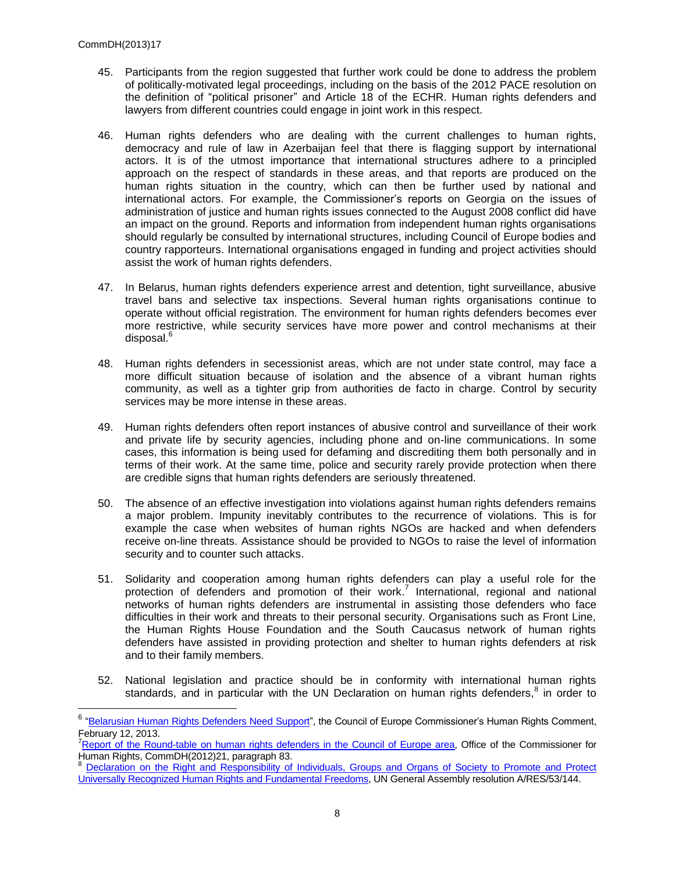- 45. Participants from the region suggested that further work could be done to address the problem of politically-motivated legal proceedings, including on the basis of the 2012 PACE resolution on the definition of "political prisoner" and Article 18 of the ECHR. Human rights defenders and lawyers from different countries could engage in joint work in this respect.
- 46. Human rights defenders who are dealing with the current challenges to human rights, democracy and rule of law in Azerbaijan feel that there is flagging support by international actors. It is of the utmost importance that international structures adhere to a principled approach on the respect of standards in these areas, and that reports are produced on the human rights situation in the country, which can then be further used by national and international actors. For example, the Commissioner's reports on Georgia on the issues of administration of justice and human rights issues connected to the August 2008 conflict did have an impact on the ground. Reports and information from independent human rights organisations should regularly be consulted by international structures, including Council of Europe bodies and country rapporteurs. International organisations engaged in funding and project activities should assist the work of human rights defenders.
- 47. In Belarus, human rights defenders experience arrest and detention, tight surveillance, abusive travel bans and selective tax inspections. Several human rights organisations continue to operate without official registration. The environment for human rights defenders becomes ever more restrictive, while security services have more power and control mechanisms at their disposal.<sup>6</sup>
- 48. Human rights defenders in secessionist areas, which are not under state control, may face a more difficult situation because of isolation and the absence of a vibrant human rights community, as well as a tighter grip from authorities de facto in charge. Control by security services may be more intense in these areas.
- 49. Human rights defenders often report instances of abusive control and surveillance of their work and private life by security agencies, including phone and on-line communications. In some cases, this information is being used for defaming and discrediting them both personally and in terms of their work. At the same time, police and security rarely provide protection when there are credible signs that human rights defenders are seriously threatened.
- 50. The absence of an effective investigation into violations against human rights defenders remains a major problem. Impunity inevitably contributes to the recurrence of violations. This is for example the case when websites of human rights NGOs are hacked and when defenders receive on-line threats. Assistance should be provided to NGOs to raise the level of information security and to counter such attacks.
- 51. Solidarity and cooperation among human rights defenders can play a useful role for the protection of defenders and promotion of their work.<sup>7</sup> International, regional and national networks of human rights defenders are instrumental in assisting those defenders who face difficulties in their work and threats to their personal security. Organisations such as Front Line, the Human Rights House Foundation and the South Caucasus network of human rights defenders have assisted in providing protection and shelter to human rights defenders at risk and to their family members.
- 52. National legislation and practice should be in conformity with international human rights standards, and in particular with the UN Declaration on human rights defenders,<sup>8</sup> in order to

<sup>&</sup>lt;sup>6</sup> ["Belarusian Human Rights Defenders Need Support"](http://humanrightscomment.org/2013/02/12/belarusian-human-rights-defenders-need-support/), the Council of Europe Commissioner's Human Rights Comment, February 12, 2013.

<sup>7</sup>[Report of the Round-table on human rights defenders in the Council of Europe area,](https://wcd.coe.int/ViewDoc.jsp?Ref=CommDH(2012)21&Language=lanEnglish&Ver=original&Site=CommDH&BackColorInternet=FEC65B&BackColorIntranet=FEC65B&BackColorLogged=FFC679) Office of the Commissioner for Human Rights, CommDH(2012)21, paragraph 83.

<sup>8</sup> [Declaration on the Right and Responsibility of Individuals, Groups and Organs of Society to Promote and Protect](http://www.unhchr.ch/huridocda/huridoca.nsf/%28symbol%29/a.res.53.144.en)  [Universally Recognized Human Rights and Fundamental Freedoms,](http://www.unhchr.ch/huridocda/huridoca.nsf/%28symbol%29/a.res.53.144.en) UN General Assembly resolution A/RES/53/144.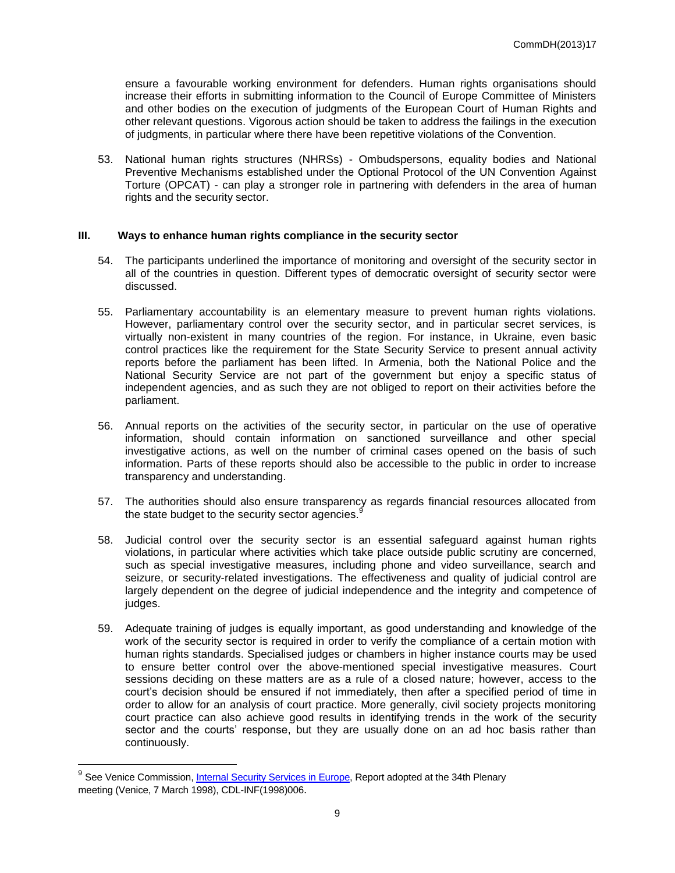ensure a favourable working environment for defenders. Human rights organisations should increase their efforts in submitting information to the Council of Europe Committee of Ministers and other bodies on the execution of judgments of the European Court of Human Rights and other relevant questions. Vigorous action should be taken to address the failings in the execution of judgments, in particular where there have been repetitive violations of the Convention.

53. National human rights structures (NHRSs) - Ombudspersons, equality bodies and National Preventive Mechanisms established under the Optional Protocol of the UN Convention Against Torture (OPCAT) - can play a stronger role in partnering with defenders in the area of human rights and the security sector.

#### **III. Ways to enhance human rights compliance in the security sector**

- 54. The participants underlined the importance of monitoring and oversight of the security sector in all of the countries in question. Different types of democratic oversight of security sector were discussed.
- 55. Parliamentary accountability is an elementary measure to prevent human rights violations. However, parliamentary control over the security sector, and in particular secret services, is virtually non-existent in many countries of the region. For instance, in Ukraine, even basic control practices like the requirement for the State Security Service to present annual activity reports before the parliament has been lifted. In Armenia, both the National Police and the National Security Service are not part of the government but enjoy a specific status of independent agencies, and as such they are not obliged to report on their activities before the parliament.
- 56. Annual reports on the activities of the security sector, in particular on the use of operative information, should contain information on sanctioned surveillance and other special investigative actions, as well on the number of criminal cases opened on the basis of such information. Parts of these reports should also be accessible to the public in order to increase transparency and understanding.
- 57. The authorities should also ensure transparency as regards financial resources allocated from the state budget to the security sector agencies.<sup>9</sup>
- 58. Judicial control over the security sector is an essential safeguard against human rights violations, in particular where activities which take place outside public scrutiny are concerned, such as special investigative measures, including phone and video surveillance, search and seizure, or security-related investigations. The effectiveness and quality of judicial control are largely dependent on the degree of judicial independence and the integrity and competence of judges.
- 59. Adequate training of judges is equally important, as good understanding and knowledge of the work of the security sector is required in order to verify the compliance of a certain motion with human rights standards. Specialised judges or chambers in higher instance courts may be used to ensure better control over the above-mentioned special investigative measures. Court sessions deciding on these matters are as a rule of a closed nature; however, access to the court's decision should be ensured if not immediately, then after a specified period of time in order to allow for an analysis of court practice. More generally, civil society projects monitoring court practice can also achieve good results in identifying trends in the work of the security sector and the courts' response, but they are usually done on an ad hoc basis rather than continuously.

<sup>&</sup>lt;sup>9</sup> See Venice Commission, <u>Internal Security Services in Europe</u>, Report adopted at the 34th Plenary meeting (Venice, 7 March 1998), CDL-INF(1998)006.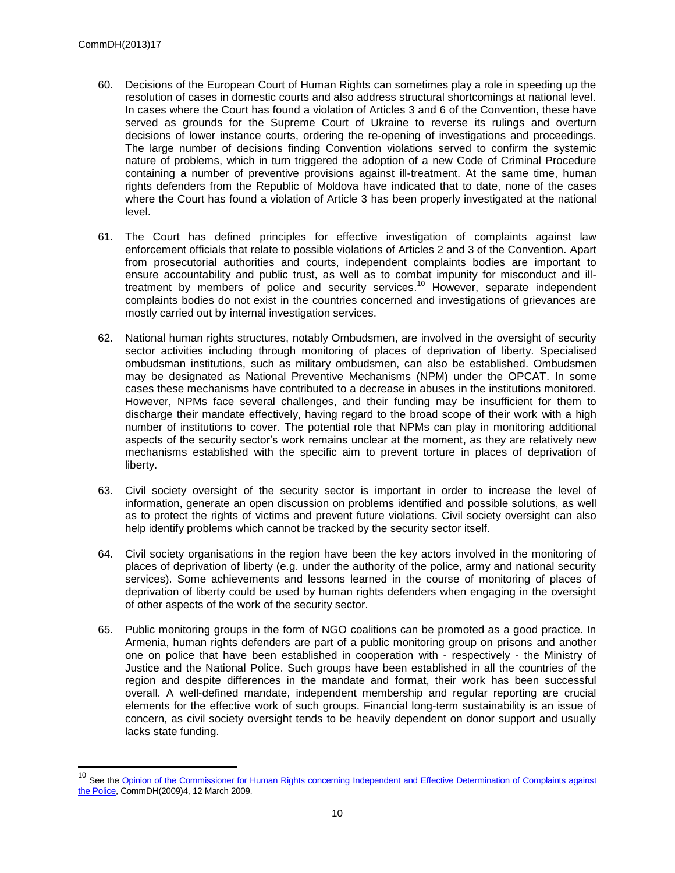- 60. Decisions of the European Court of Human Rights can sometimes play a role in speeding up the resolution of cases in domestic courts and also address structural shortcomings at national level. In cases where the Court has found a violation of Articles 3 and 6 of the Convention, these have served as grounds for the Supreme Court of Ukraine to reverse its rulings and overturn decisions of lower instance courts, ordering the re-opening of investigations and proceedings. The large number of decisions finding Convention violations served to confirm the systemic nature of problems, which in turn triggered the adoption of a new Code of Criminal Procedure containing a number of preventive provisions against ill-treatment. At the same time, human rights defenders from the Republic of Moldova have indicated that to date, none of the cases where the Court has found a violation of Article 3 has been properly investigated at the national level.
- 61. The Court has defined principles for effective investigation of complaints against law enforcement officials that relate to possible violations of Articles 2 and 3 of the Convention. Apart from prosecutorial authorities and courts, independent complaints bodies are important to ensure accountability and public trust, as well as to combat impunity for misconduct and illtreatment by members of police and security services.<sup>10</sup> However, separate independent complaints bodies do not exist in the countries concerned and investigations of grievances are mostly carried out by internal investigation services.
- 62. National human rights structures, notably Ombudsmen, are involved in the oversight of security sector activities including through monitoring of places of deprivation of liberty. Specialised ombudsman institutions, such as military ombudsmen, can also be established. Ombudsmen may be designated as National Preventive Mechanisms (NPM) under the OPCAT. In some cases these mechanisms have contributed to a decrease in abuses in the institutions monitored. However, NPMs face several challenges, and their funding may be insufficient for them to discharge their mandate effectively, having regard to the broad scope of their work with a high number of institutions to cover. The potential role that NPMs can play in monitoring additional aspects of the security sector's work remains unclear at the moment, as they are relatively new mechanisms established with the specific aim to prevent torture in places of deprivation of liberty.
- 63. Civil society oversight of the security sector is important in order to increase the level of information, generate an open discussion on problems identified and possible solutions, as well as to protect the rights of victims and prevent future violations. Civil society oversight can also help identify problems which cannot be tracked by the security sector itself.
- 64. Civil society organisations in the region have been the key actors involved in the monitoring of places of deprivation of liberty (e.g. under the authority of the police, army and national security services). Some achievements and lessons learned in the course of monitoring of places of deprivation of liberty could be used by human rights defenders when engaging in the oversight of other aspects of the work of the security sector.
- 65. Public monitoring groups in the form of NGO coalitions can be promoted as a good practice. In Armenia, human rights defenders are part of a public monitoring group on prisons and another one on police that have been established in cooperation with - respectively - the Ministry of Justice and the National Police. Such groups have been established in all the countries of the region and despite differences in the mandate and format, their work has been successful overall. A well-defined mandate, independent membership and regular reporting are crucial elements for the effective work of such groups. Financial long-term sustainability is an issue of concern, as civil society oversight tends to be heavily dependent on donor support and usually lacks state funding.

<sup>&</sup>lt;sup>10</sup> See the Opinion of the Commissioner for Human Rights concerning Independent and Effective Determination of Complaints against [the Police,](https://wcd.coe.int/ViewDoc.jsp?id=1417857&Site=COE&BackColorInternet=B9BDEE&BackColorIntranet=FFCD4F&BackColorLogged=FFC679) CommDH(2009)4, 12 March 2009.